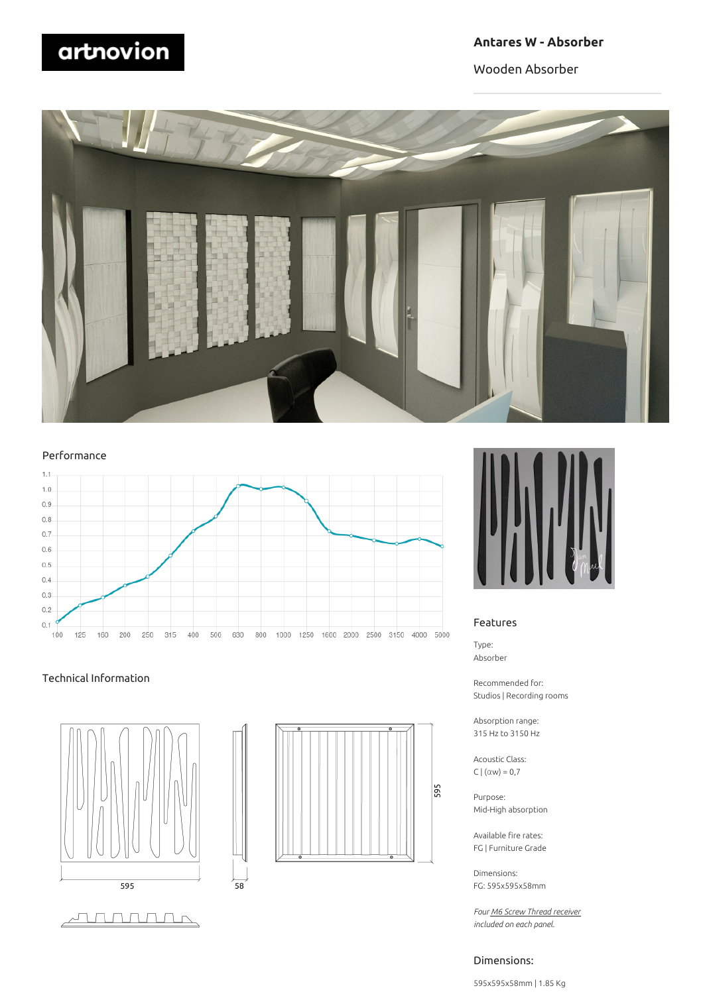# **Antares W - Absorber**

Wooden Absorber



#### Performance



 $58$ 

#### Technical Information







#### Features

Type: Absorber

Recommended for: Studios | Recording rooms

Absorption range: 315 Hz to 3150 Hz

Acoustic Class: C  $|(\alpha w) = 0.7$ 

Purpose: Mid-High absorption

Available fire rates: FG | Furniture Grade

Dimensions: FG: 595x595x58mm

*Four M6 Screw Thread receiver included on each panel.*

#### Dimensions:

595x595x58mm | 1.85 Kg